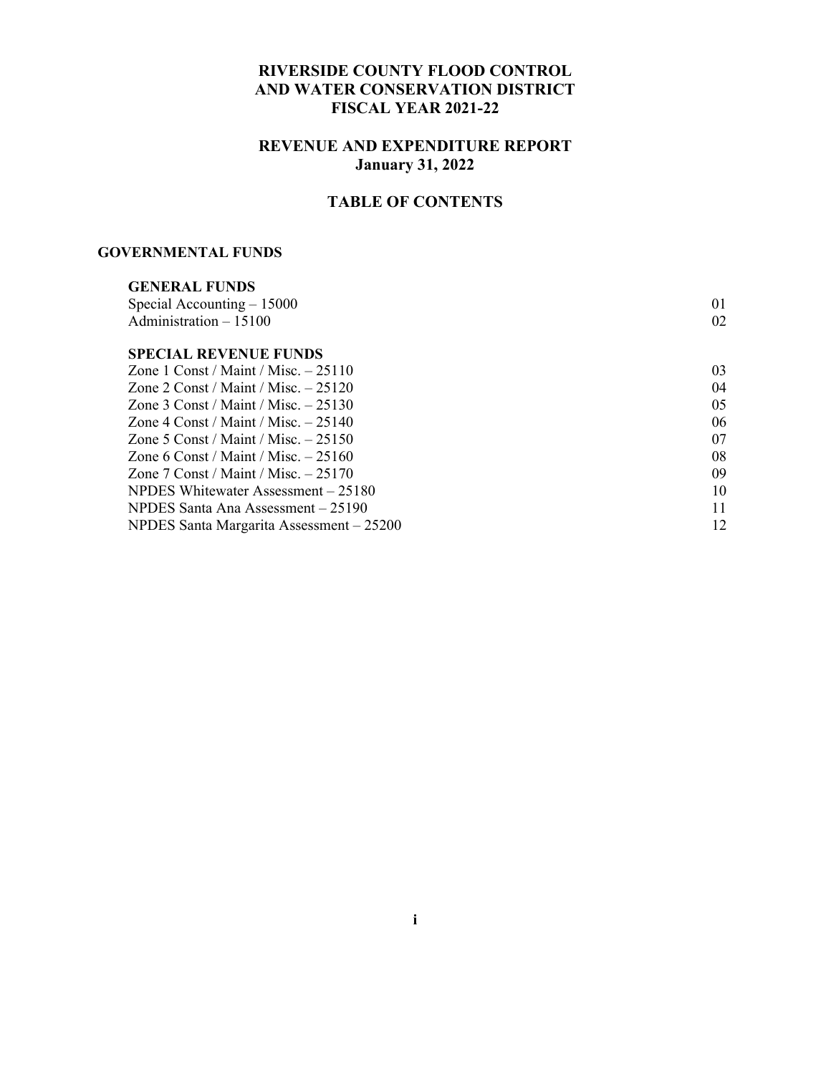### **RIVERSIDE COUNTY FLOOD CONTROL AND WATER CONSERVATION DISTRICT FISCAL YEAR 2021-22**

#### **REVENUE AND EXPENDITURE REPORT January 31, 2022**

### **TABLE OF CONTENTS**

#### **GOVERNMENTAL FUNDS**

| 01 |
|----|
| 02 |
|    |
| 03 |
| 04 |
| 05 |
| 06 |
| 07 |
| 08 |
| 09 |
| 10 |
| 11 |
| 12 |
|    |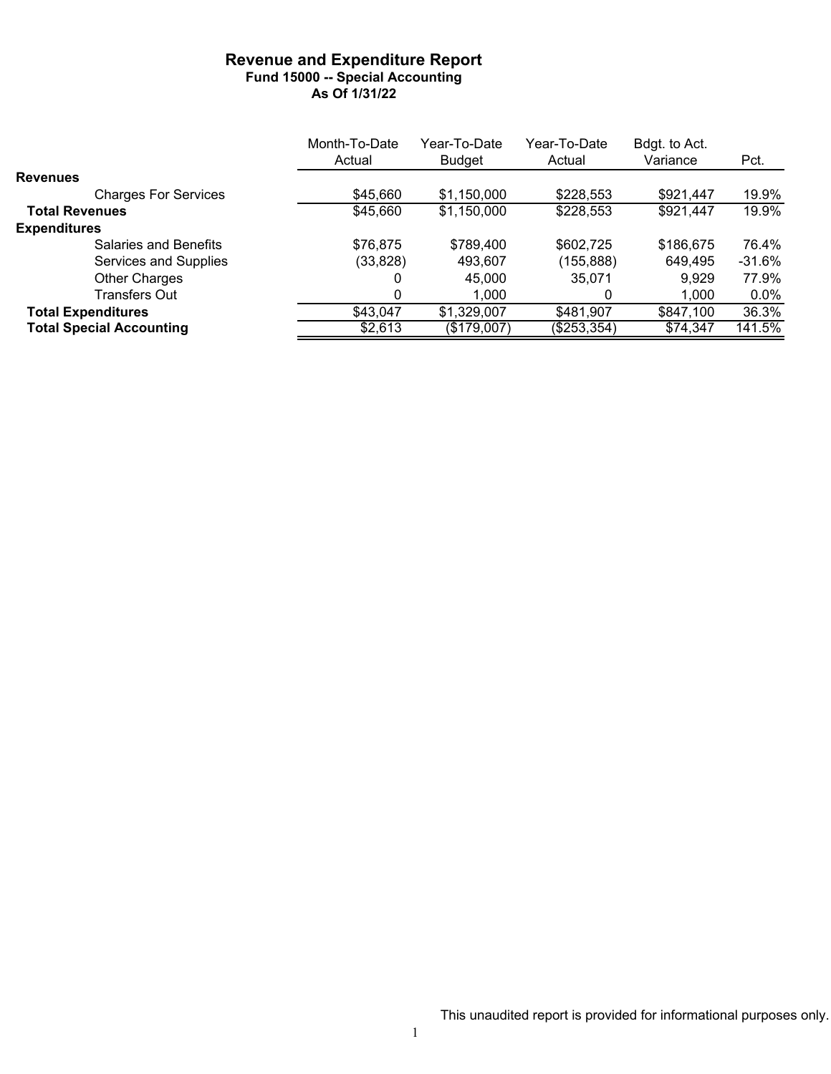#### **Revenue and Expenditure Report Fund 15000 -- Special Accounting As Of 1/31/22**

|                                 | Month-To-Date | Year-To-Date  | Year-To-Date | Bdgt. to Act. |          |
|---------------------------------|---------------|---------------|--------------|---------------|----------|
|                                 | Actual        | <b>Budget</b> | Actual       | Variance      | Pct.     |
| <b>Revenues</b>                 |               |               |              |               |          |
| <b>Charges For Services</b>     | \$45,660      | \$1,150,000   | \$228,553    | \$921,447     | 19.9%    |
| <b>Total Revenues</b>           | \$45,660      | \$1,150,000   | \$228,553    | \$921,447     | 19.9%    |
| <b>Expenditures</b>             |               |               |              |               |          |
| Salaries and Benefits           | \$76,875      | \$789,400     | \$602,725    | \$186,675     | 76.4%    |
| Services and Supplies           | (33, 828)     | 493,607       | (155,888)    | 649,495       | $-31.6%$ |
| <b>Other Charges</b>            |               | 45.000        | 35.071       | 9,929         | 77.9%    |
| Transfers Out                   | 0             | 1,000         | 0            | 1.000         | $0.0\%$  |
| <b>Total Expenditures</b>       | \$43,047      | \$1,329,007   | \$481.907    | \$847,100     | 36.3%    |
| <b>Total Special Accounting</b> | \$2,613       | (\$179,007)   | (\$253,354)  | \$74,347      | 141.5%   |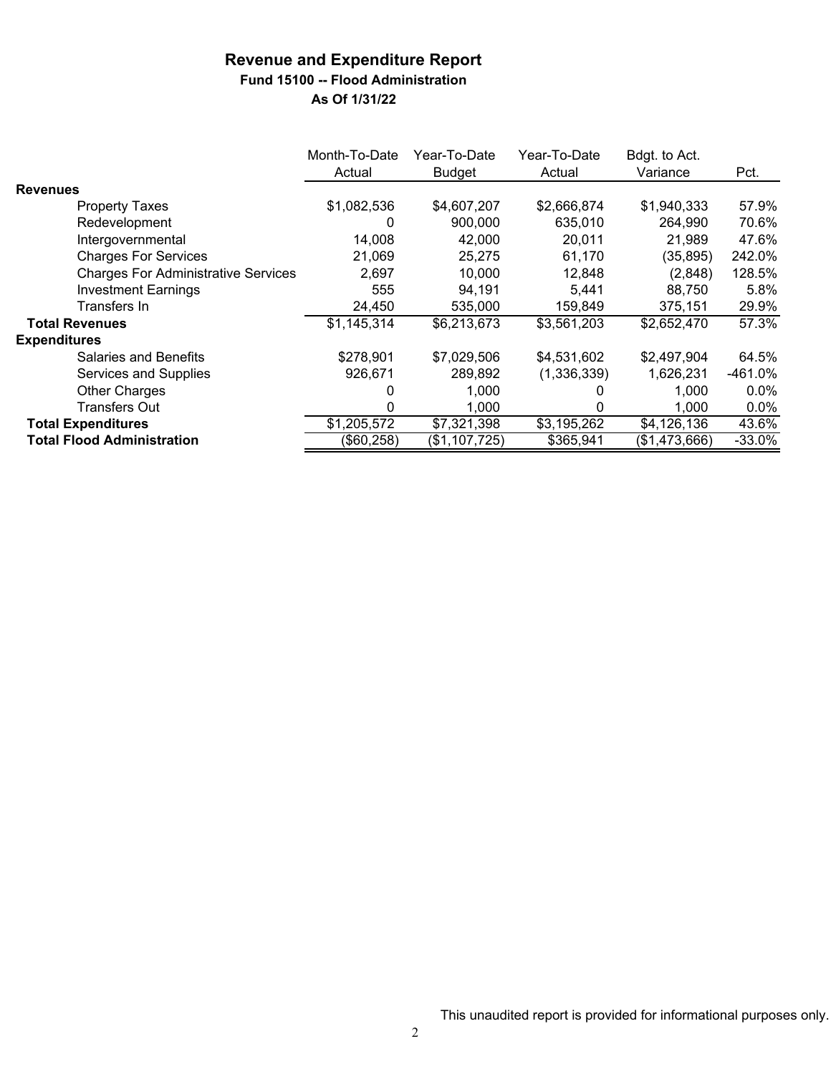### **Revenue and Expenditure Report Fund 15100 -- Flood Administration**

|                                            | Month-To-Date<br>Actual | Year-To-Date<br><b>Budget</b> | Year-To-Date<br>Actual | Bdgt. to Act.<br>Variance | Pct.      |
|--------------------------------------------|-------------------------|-------------------------------|------------------------|---------------------------|-----------|
| <b>Revenues</b>                            |                         |                               |                        |                           |           |
| <b>Property Taxes</b>                      | \$1,082,536             | \$4,607,207                   | \$2,666,874            | \$1,940,333               | 57.9%     |
| Redevelopment                              | 0                       | 900,000                       | 635,010                | 264,990                   | 70.6%     |
| Intergovernmental                          | 14,008                  | 42,000                        | 20,011                 | 21,989                    | 47.6%     |
| <b>Charges For Services</b>                | 21,069                  | 25,275                        | 61,170                 | (35, 895)                 | 242.0%    |
| <b>Charges For Administrative Services</b> | 2,697                   | 10.000                        | 12,848                 | (2,848)                   | 128.5%    |
| <b>Investment Earnings</b>                 | 555                     | 94,191                        | 5,441                  | 88,750                    | 5.8%      |
| Transfers In                               | 24,450                  | 535,000                       | 159,849                | 375,151                   | 29.9%     |
| <b>Total Revenues</b>                      | \$1,145,314             | \$6,213,673                   | \$3,561,203            | \$2,652,470               | 57.3%     |
| <b>Expenditures</b>                        |                         |                               |                        |                           |           |
| <b>Salaries and Benefits</b>               | \$278,901               | \$7,029,506                   | \$4,531,602            | \$2,497,904               | 64.5%     |
| Services and Supplies                      | 926,671                 | 289,892                       | (1,336,339)            | 1,626,231                 | $-461.0%$ |
| <b>Other Charges</b>                       | 0                       | 1,000                         |                        | 1.000                     | $0.0\%$   |
| <b>Transfers Out</b>                       | 0                       | 1,000                         | 0                      | 1,000                     | $0.0\%$   |
| <b>Total Expenditures</b>                  | \$1,205,572             | \$7,321,398                   | \$3,195,262            | \$4,126,136               | 43.6%     |
| <b>Total Flood Administration</b>          | (\$60,258)              | (\$1,107,725)                 | \$365,941              | (\$1,473,666)             | $-33.0%$  |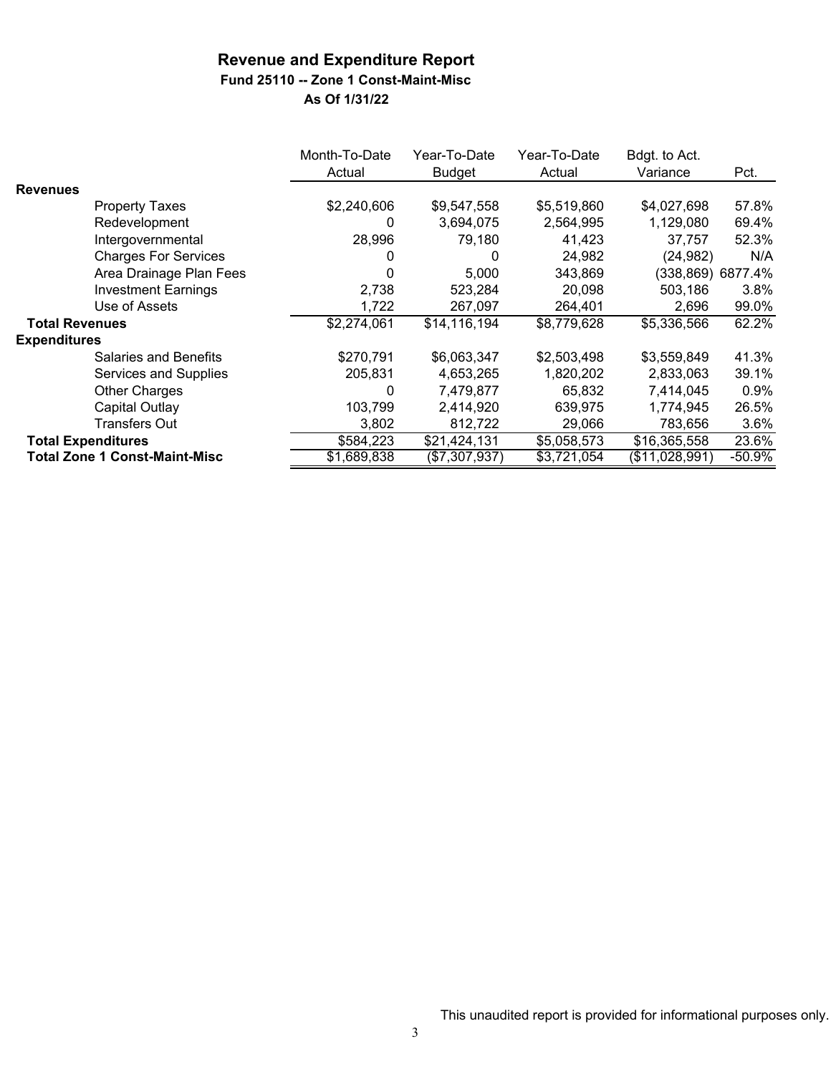## **Fund 25110 -- Zone 1 Const-Maint-Misc**

|                       |                                      | Month-To-Date<br>Actual | Year-To-Date<br><b>Budget</b> | Year-To-Date<br>Actual | Bdgt. to Act.<br>Variance | Pct.              |
|-----------------------|--------------------------------------|-------------------------|-------------------------------|------------------------|---------------------------|-------------------|
| <b>Revenues</b>       |                                      |                         |                               |                        |                           |                   |
|                       | <b>Property Taxes</b>                | \$2,240,606             | \$9,547,558                   | \$5,519,860            | \$4,027,698               | 57.8%             |
|                       | Redevelopment                        | 0                       | 3,694,075                     | 2,564,995              | 1,129,080                 | 69.4%             |
|                       | Intergovernmental                    | 28,996                  | 79,180                        | 41,423                 | 37,757                    | 52.3%             |
|                       | <b>Charges For Services</b>          |                         | 0                             | 24,982                 | (24, 982)                 | N/A               |
|                       | Area Drainage Plan Fees              |                         | 5,000                         | 343,869                |                           | (338,869) 6877.4% |
|                       | <b>Investment Earnings</b>           | 2,738                   | 523,284                       | 20,098                 | 503,186                   | 3.8%              |
|                       | Use of Assets                        | 1,722                   | 267,097                       | 264,401                | 2,696                     | 99.0%             |
| <b>Total Revenues</b> |                                      | \$2,274,061             | \$14,116,194                  | \$8,779,628            | \$5,336,566               | 62.2%             |
| <b>Expenditures</b>   |                                      |                         |                               |                        |                           |                   |
|                       | <b>Salaries and Benefits</b>         | \$270,791               | \$6,063,347                   | \$2,503,498            | \$3,559,849               | 41.3%             |
|                       | Services and Supplies                | 205,831                 | 4,653,265                     | 1,820,202              | 2,833,063                 | 39.1%             |
|                       | Other Charges                        | 0                       | 7,479,877                     | 65,832                 | 7,414,045                 | 0.9%              |
|                       | <b>Capital Outlay</b>                | 103,799                 | 2,414,920                     | 639,975                | 1,774,945                 | 26.5%             |
|                       | Transfers Out                        | 3,802                   | 812,722                       | 29,066                 | 783,656                   | 3.6%              |
|                       | <b>Total Expenditures</b>            | \$584,223               | \$21,424,131                  | \$5,058,573            | \$16,365,558              | 23.6%             |
|                       | <b>Total Zone 1 Const-Maint-Misc</b> | \$1,689,838             | $(\$7,307,937)$               | $\sqrt{33,72}1,054$    | (\$11,028,991)            | $-50.9%$          |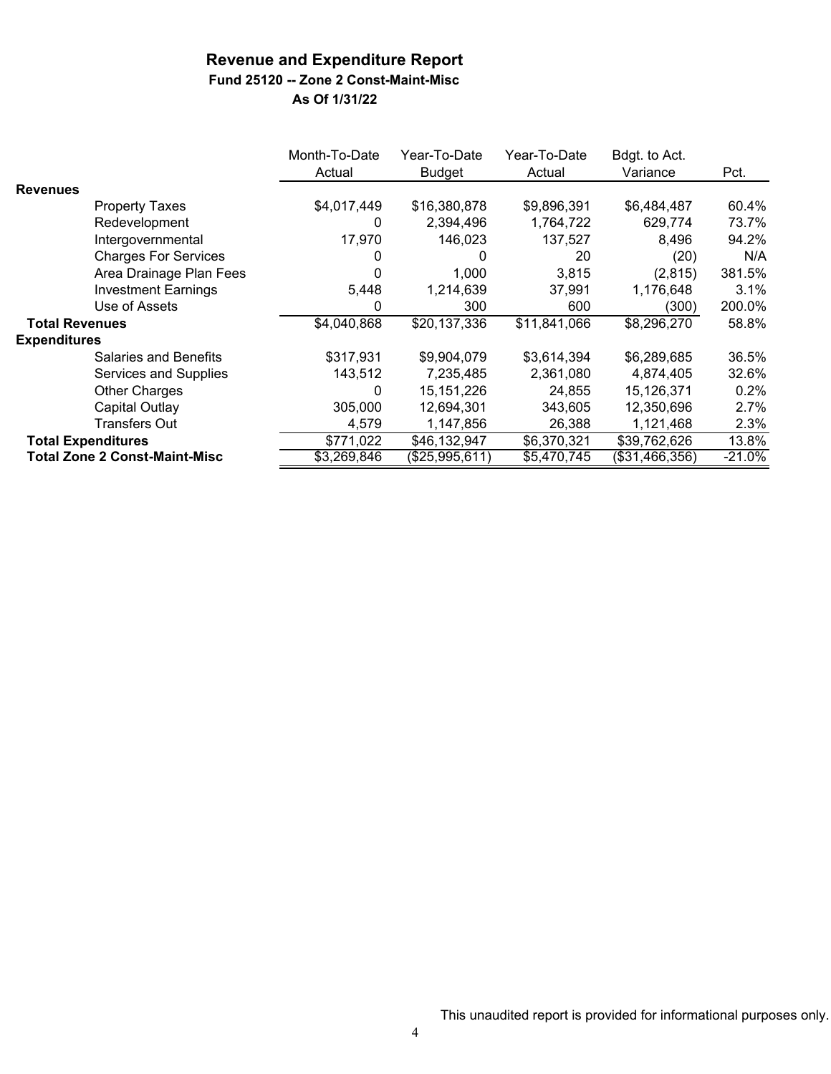# **Fund 25120 -- Zone 2 Const-Maint-Misc**

|                       |                                      | Month-To-Date<br>Actual | Year-To-Date<br>Budget | Year-To-Date<br>Actual | Bdgt. to Act.<br>Variance | Pct.      |
|-----------------------|--------------------------------------|-------------------------|------------------------|------------------------|---------------------------|-----------|
| <b>Revenues</b>       |                                      |                         |                        |                        |                           |           |
|                       | <b>Property Taxes</b>                | \$4,017,449             | \$16,380,878           | \$9,896,391            | \$6,484,487               | 60.4%     |
|                       | Redevelopment                        | 0                       | 2,394,496              | 1,764,722              | 629,774                   | 73.7%     |
|                       | Intergovernmental                    | 17,970                  | 146,023                | 137,527                | 8,496                     | 94.2%     |
|                       | <b>Charges For Services</b>          | 0                       | 0                      | 20                     | (20)                      | N/A       |
|                       | Area Drainage Plan Fees              | 0                       | 1,000                  | 3,815                  | (2,815)                   | 381.5%    |
|                       | <b>Investment Earnings</b>           | 5,448                   | 1,214,639              | 37,991                 | 1,176,648                 | 3.1%      |
|                       | Use of Assets                        | 0                       | 300                    | 600                    | (300)                     | 200.0%    |
| <b>Total Revenues</b> |                                      | \$4,040,868             | \$20,137,336           | \$11,841,066           | \$8,296,270               | 58.8%     |
| <b>Expenditures</b>   |                                      |                         |                        |                        |                           |           |
|                       | <b>Salaries and Benefits</b>         | \$317,931               | \$9,904,079            | \$3,614,394            | \$6,289,685               | 36.5%     |
|                       | Services and Supplies                | 143,512                 | 7,235,485              | 2,361,080              | 4,874,405                 | 32.6%     |
|                       | <b>Other Charges</b>                 | 0                       | 15, 151, 226           | 24,855                 | 15,126,371                | 0.2%      |
|                       | Capital Outlay                       | 305,000                 | 12,694,301             | 343,605                | 12,350,696                | 2.7%      |
|                       | Transfers Out                        | 4,579                   | 1,147,856              | 26,388                 | 1,121,468                 | 2.3%      |
|                       | <b>Total Expenditures</b>            | \$771,022               | \$46,132,947           | \$6,370,321            | \$39,762,626              | 13.8%     |
|                       | <b>Total Zone 2 Const-Maint-Misc</b> | \$3,269,846             | (\$25,995,611)         | \$5,470,745            | (\$31,466,356)            | $-21.0\%$ |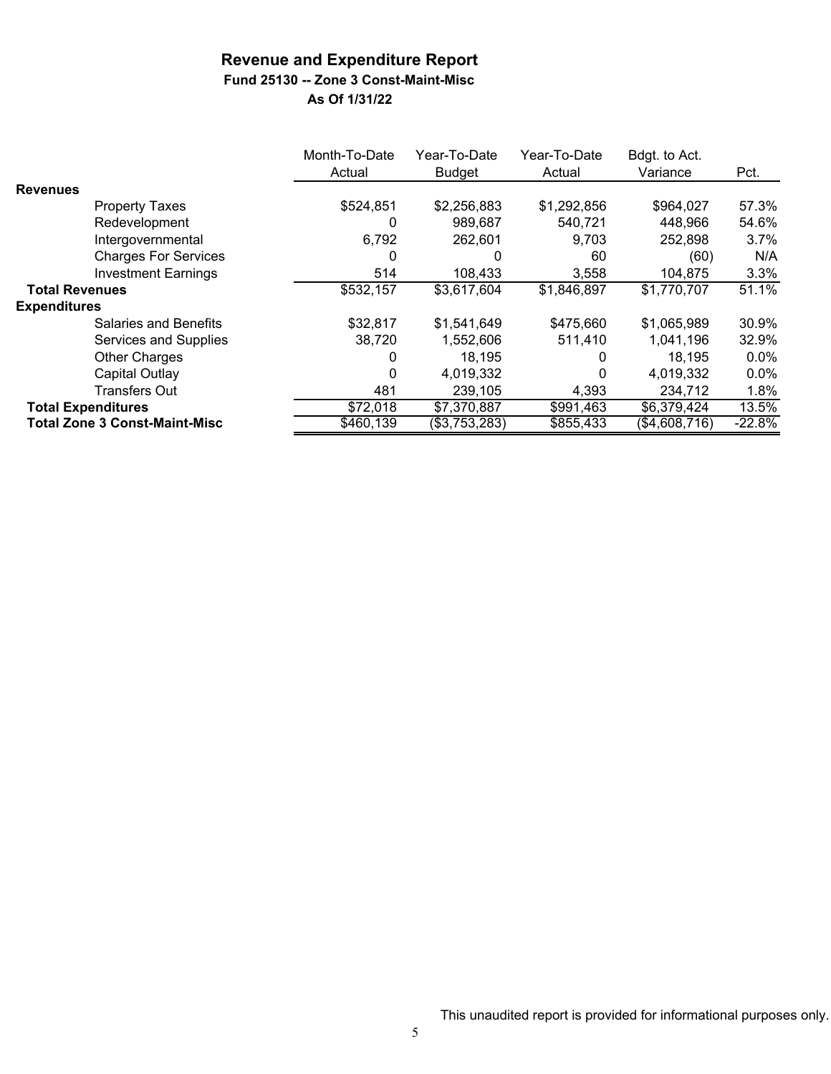### **Revenue and Expenditure Report Fund 25130 -- Zone 3 Const-Maint-Misc**

|                           |                                      | Month-To-Date<br>Actual | Year-To-Date<br>Budget | Year-To-Date<br>Actual | Bdgt. to Act.<br>Variance | Pct.     |
|---------------------------|--------------------------------------|-------------------------|------------------------|------------------------|---------------------------|----------|
| <b>Revenues</b>           |                                      |                         |                        |                        |                           |          |
|                           | <b>Property Taxes</b>                | \$524,851               | \$2,256,883            | \$1,292,856            | \$964,027                 | 57.3%    |
|                           | Redevelopment                        | 0                       | 989,687                | 540,721                | 448,966                   | 54.6%    |
|                           | Intergovernmental                    | 6,792                   | 262,601                | 9.703                  | 252,898                   | 3.7%     |
|                           | <b>Charges For Services</b>          | 0                       | 0                      | 60                     | (60)                      | N/A      |
|                           | <b>Investment Earnings</b>           | 514                     | 108,433                | 3,558                  | 104,875                   | 3.3%     |
| <b>Total Revenues</b>     |                                      | \$532,157               | \$3,617,604            | \$1,846,897            | \$1,770,707               | 51.1%    |
| <b>Expenditures</b>       |                                      |                         |                        |                        |                           |          |
|                           | Salaries and Benefits                | \$32,817                | \$1,541,649            | \$475,660              | \$1,065,989               | 30.9%    |
|                           | Services and Supplies                | 38,720                  | 1,552,606              | 511,410                | 1,041,196                 | 32.9%    |
|                           | Other Charges                        | 0                       | 18.195                 | O                      | 18.195                    | $0.0\%$  |
|                           | Capital Outlay                       | 0                       | 4,019,332              | 0                      | 4,019,332                 | $0.0\%$  |
|                           | <b>Transfers Out</b>                 | 481                     | 239,105                | 4,393                  | 234,712                   | 1.8%     |
| <b>Total Expenditures</b> |                                      | \$72,018                | \$7,370,887            | \$991,463              | \$6,379,424               | 13.5%    |
|                           | <b>Total Zone 3 Const-Maint-Misc</b> | \$460,139               | (\$3,753,283)          | \$855,433              | (\$4,608,716)             | $-22.8%$ |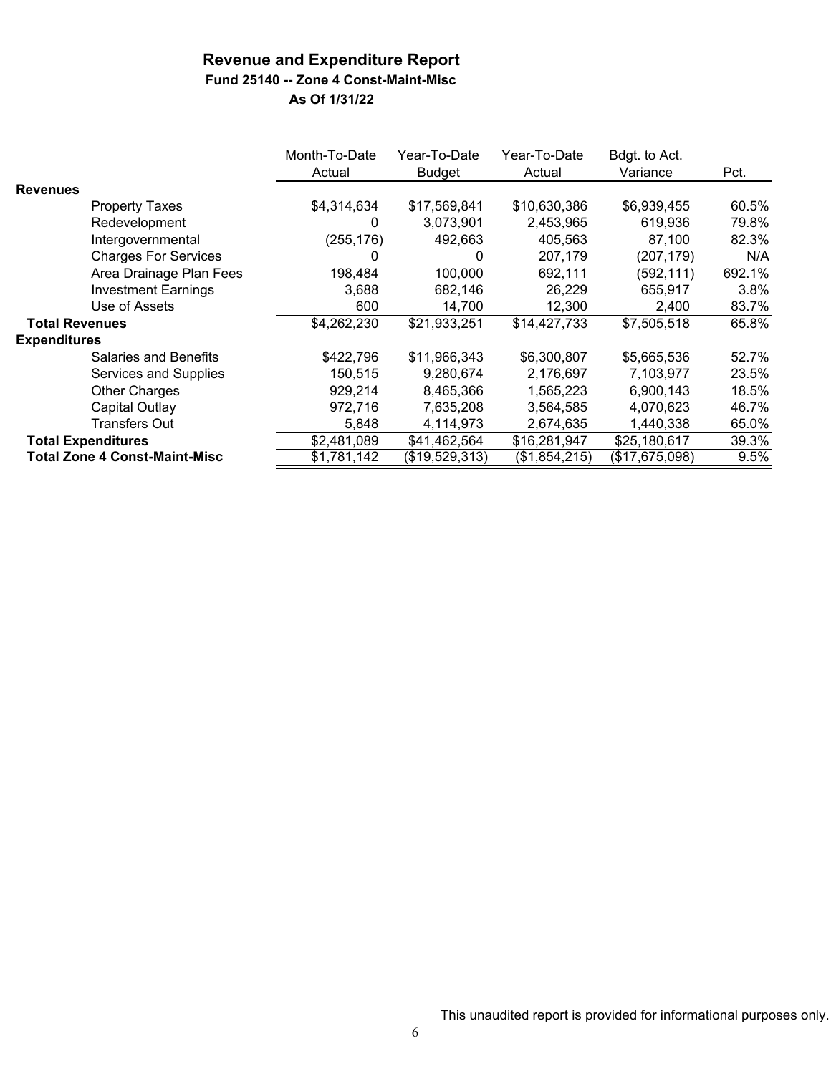## **Fund 25140 -- Zone 4 Const-Maint-Misc**

|                       |                                      | Month-To-Date<br>Actual | Year-To-Date<br><b>Budget</b> | Year-To-Date<br>Actual | Bdgt. to Act.<br>Variance | Pct.   |
|-----------------------|--------------------------------------|-------------------------|-------------------------------|------------------------|---------------------------|--------|
| <b>Revenues</b>       |                                      |                         |                               |                        |                           |        |
|                       | <b>Property Taxes</b>                | \$4,314,634             | \$17,569,841                  | \$10,630,386           | \$6,939,455               | 60.5%  |
|                       | Redevelopment                        | 0                       | 3,073,901                     | 2,453,965              | 619,936                   | 79.8%  |
|                       | Intergovernmental                    | (255, 176)              | 492,663                       | 405,563                | 87,100                    | 82.3%  |
|                       | <b>Charges For Services</b>          | 0                       | 0                             | 207,179                | (207,179)                 | N/A    |
|                       | Area Drainage Plan Fees              | 198,484                 | 100,000                       | 692,111                | (592, 111)                | 692.1% |
|                       | <b>Investment Earnings</b>           | 3.688                   | 682,146                       | 26,229                 | 655,917                   | 3.8%   |
|                       | Use of Assets                        | 600                     | 14,700                        | 12,300                 | 2,400                     | 83.7%  |
| <b>Total Revenues</b> |                                      | \$4,262,230             | \$21,933,251                  | \$14,427,733           | \$7,505,518               | 65.8%  |
| <b>Expenditures</b>   |                                      |                         |                               |                        |                           |        |
|                       | <b>Salaries and Benefits</b>         | \$422,796               | \$11,966,343                  | \$6,300,807            | \$5,665,536               | 52.7%  |
|                       | Services and Supplies                | 150,515                 | 9,280,674                     | 2,176,697              | 7,103,977                 | 23.5%  |
|                       | Other Charges                        | 929,214                 | 8,465,366                     | 1,565,223              | 6,900,143                 | 18.5%  |
|                       | Capital Outlay                       | 972,716                 | 7,635,208                     | 3,564,585              | 4,070,623                 | 46.7%  |
|                       | <b>Transfers Out</b>                 | 5,848                   | 4,114,973                     | 2,674,635              | 1,440,338                 | 65.0%  |
|                       | <b>Total Expenditures</b>            | \$2,481,089             | \$41,462,564                  | \$16,281,947           | \$25,180,617              | 39.3%  |
|                       | <b>Total Zone 4 Const-Maint-Misc</b> | \$1,781,142             | (\$19,529,313)                | (\$1,854,215)          | (\$17,675,098)            | 9.5%   |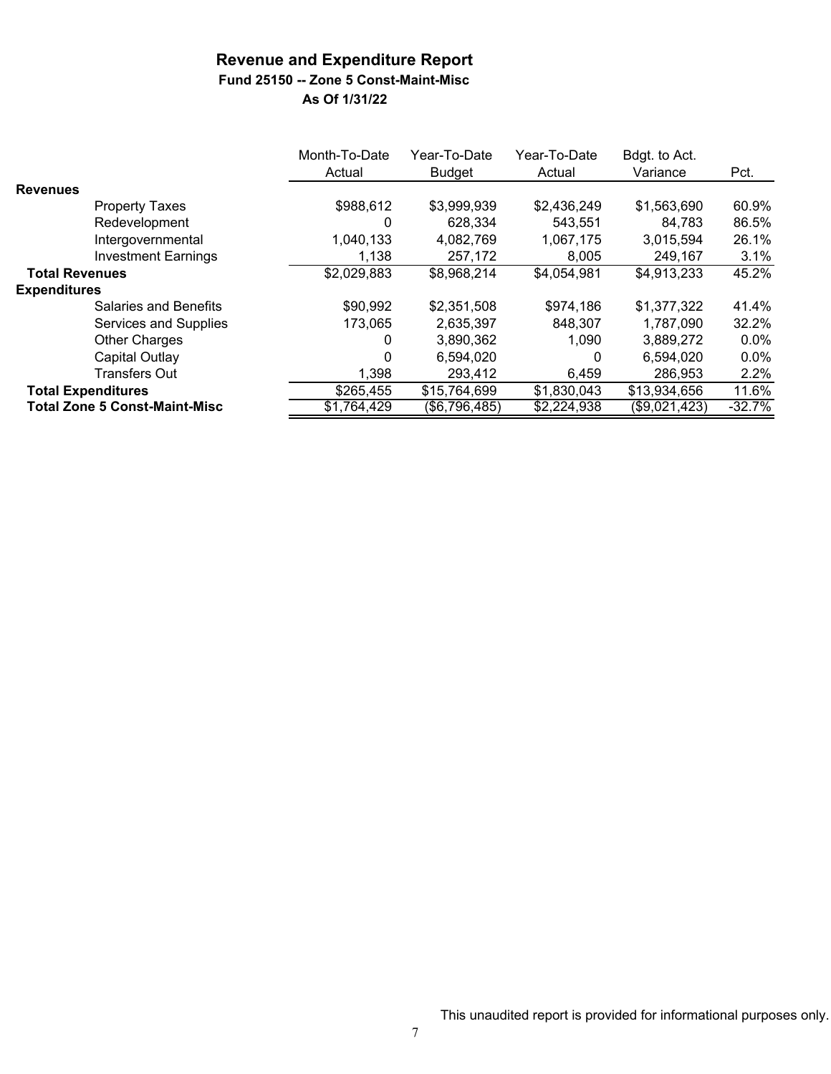# **Fund 25150 -- Zone 5 Const-Maint-Misc**

|                                      | Month-To-Date<br>Actual | Year-To-Date<br><b>Budget</b> | Year-To-Date<br>Actual | Bdgt. to Act.<br>Variance | Pct.     |
|--------------------------------------|-------------------------|-------------------------------|------------------------|---------------------------|----------|
| <b>Revenues</b>                      |                         |                               |                        |                           |          |
| <b>Property Taxes</b>                | \$988,612               | \$3,999,939                   | \$2,436,249            | \$1,563,690               | 60.9%    |
| Redevelopment                        | 0                       | 628,334                       | 543.551                | 84.783                    | 86.5%    |
| Intergovernmental                    | 1,040,133               | 4,082,769                     | 1,067,175              | 3,015,594                 | 26.1%    |
| <b>Investment Earnings</b>           | 1,138                   | 257,172                       | 8,005                  | 249,167                   | 3.1%     |
| <b>Total Revenues</b>                | \$2,029,883             | \$8,968,214                   | \$4,054,981            | \$4,913,233               | 45.2%    |
| <b>Expenditures</b>                  |                         |                               |                        |                           |          |
| <b>Salaries and Benefits</b>         | \$90,992                | \$2,351,508                   | \$974,186              | \$1,377,322               | 41.4%    |
| Services and Supplies                | 173,065                 | 2,635,397                     | 848,307                | 1,787,090                 | 32.2%    |
| <b>Other Charges</b>                 | 0                       | 3,890,362                     | 1,090                  | 3,889,272                 | $0.0\%$  |
| Capital Outlay                       | 0                       | 6,594,020                     | 0                      | 6,594,020                 | $0.0\%$  |
| <b>Transfers Out</b>                 | 1,398                   | 293,412                       | 6,459                  | 286,953                   | $2.2\%$  |
| <b>Total Expenditures</b>            | \$265,455               | \$15,764,699                  | \$1,830,043            | \$13,934,656              | 11.6%    |
| <b>Total Zone 5 Const-Maint-Misc</b> | \$1,764,429             | (\$6,796,485)                 | \$2,224,938            | (\$9,021,423)             | $-32.7%$ |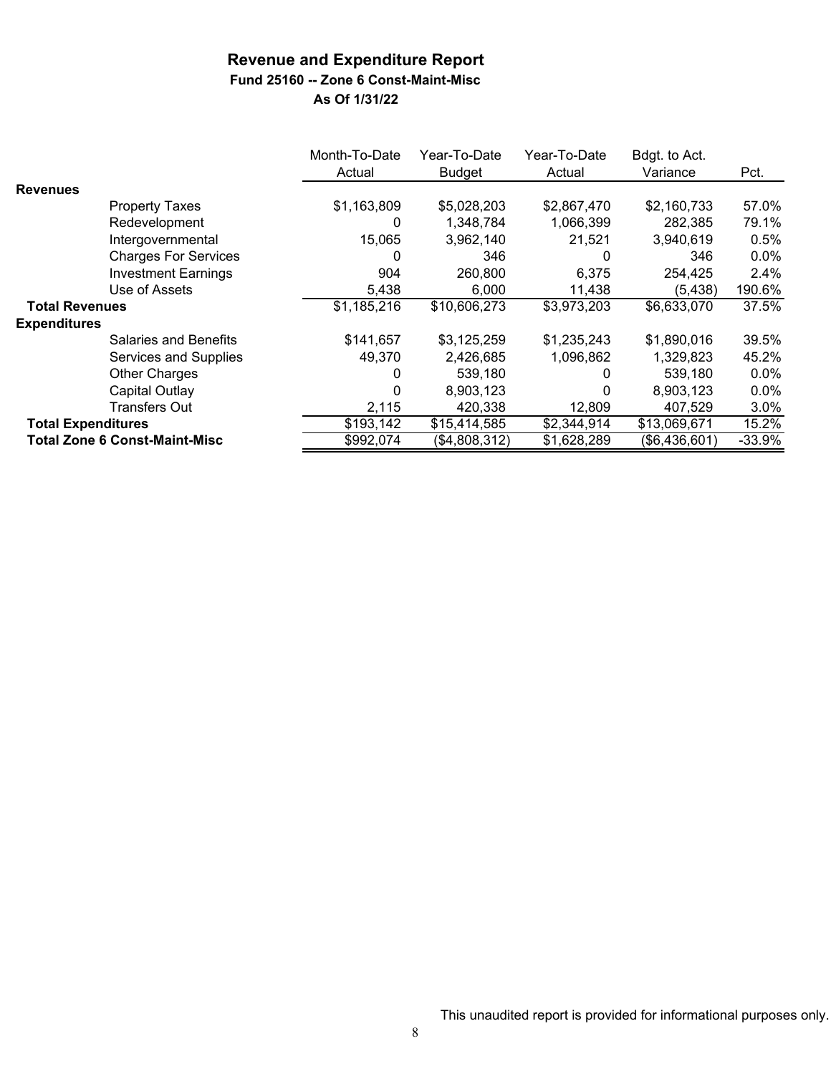**Fund 25160 -- Zone 6 Const-Maint-Misc**

|                           |                                      | Month-To-Date | Year-To-Date  | Year-To-Date | Bdgt. to Act. |          |
|---------------------------|--------------------------------------|---------------|---------------|--------------|---------------|----------|
|                           |                                      | Actual        | <b>Budget</b> | Actual       | Variance      | Pct.     |
| <b>Revenues</b>           |                                      |               |               |              |               |          |
|                           | <b>Property Taxes</b>                | \$1,163,809   | \$5,028,203   | \$2,867,470  | \$2,160,733   | 57.0%    |
|                           | Redevelopment                        | 0             | 1,348,784     | 1,066,399    | 282,385       | 79.1%    |
|                           | Intergovernmental                    | 15,065        | 3,962,140     | 21,521       | 3,940,619     | 0.5%     |
|                           | <b>Charges For Services</b>          | O             | 346           | 0            | 346           | 0.0%     |
|                           | <b>Investment Earnings</b>           | 904           | 260,800       | 6,375        | 254,425       | 2.4%     |
|                           | Use of Assets                        | 5,438         | 6,000         | 11,438       | (5, 438)      | 190.6%   |
| <b>Total Revenues</b>     |                                      | \$1,185,216   | \$10,606,273  | \$3,973,203  | \$6,633,070   | 37.5%    |
| <b>Expenditures</b>       |                                      |               |               |              |               |          |
|                           | <b>Salaries and Benefits</b>         | \$141,657     | \$3,125,259   | \$1,235,243  | \$1,890,016   | 39.5%    |
|                           | <b>Services and Supplies</b>         | 49,370        | 2,426,685     | 1,096,862    | 1,329,823     | 45.2%    |
|                           | Other Charges                        | 0             | 539,180       | 0            | 539,180       | $0.0\%$  |
|                           | <b>Capital Outlay</b>                | 0             | 8,903,123     | 0            | 8,903,123     | $0.0\%$  |
|                           | <b>Transfers Out</b>                 | 2,115         | 420,338       | 12,809       | 407,529       | 3.0%     |
| <b>Total Expenditures</b> |                                      | \$193,142     | \$15,414,585  | \$2,344,914  | \$13,069,671  | 15.2%    |
|                           | <b>Total Zone 6 Const-Maint-Misc</b> | \$992,074     | (\$4,808,312) | \$1,628,289  | (\$6,436,601) | $-33.9%$ |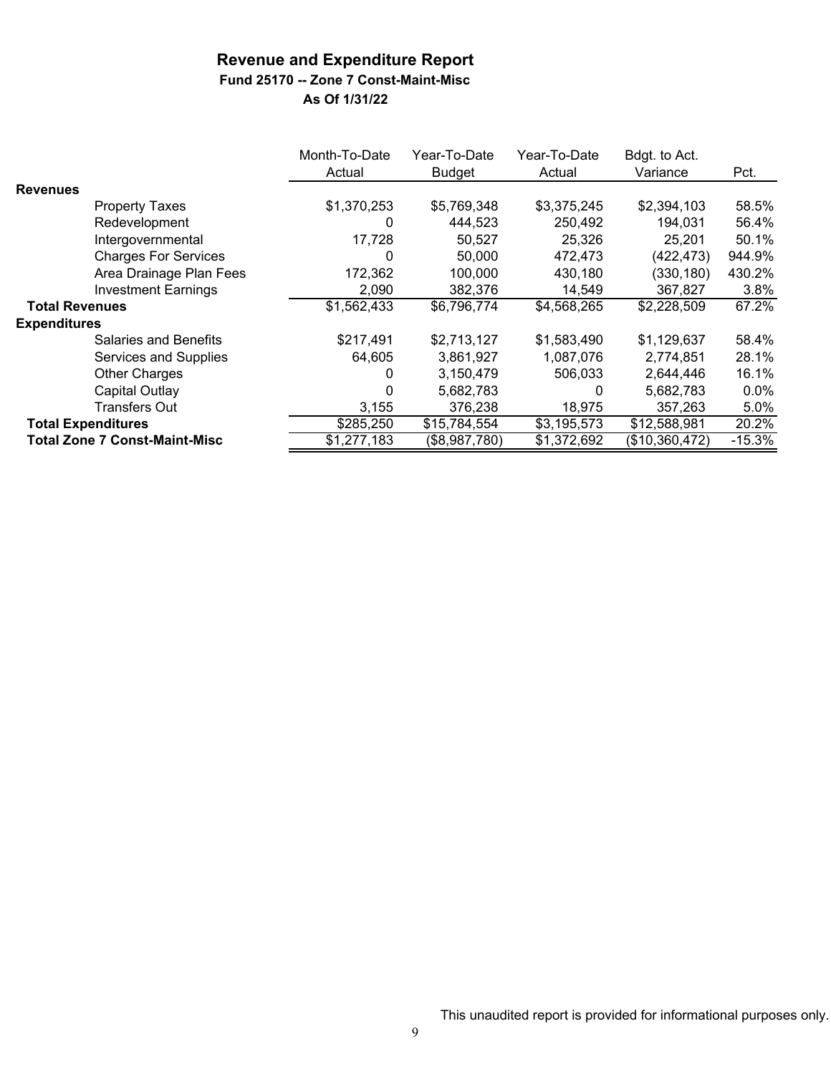### **Fund 25170 -- Zone 7 Const-Maint-Misc**

|                                      | Month-To-Date<br>Actual | Year-To-Date<br><b>Budget</b> | Year-To-Date<br>Actual | Bdgt. to Act.<br>Variance | Pct.     |
|--------------------------------------|-------------------------|-------------------------------|------------------------|---------------------------|----------|
| <b>Revenues</b>                      |                         |                               |                        |                           |          |
| <b>Property Taxes</b>                | \$1,370,253             | \$5,769,348                   | \$3,375,245            | \$2,394,103               | 58.5%    |
| Redevelopment                        | 0                       | 444,523                       | 250,492                | 194,031                   | 56.4%    |
| Intergovernmental                    | 17,728                  | 50,527                        | 25,326                 | 25,201                    | 50.1%    |
| <b>Charges For Services</b>          | 0                       | 50,000                        | 472,473                | (422, 473)                | 944.9%   |
| Area Drainage Plan Fees              | 172,362                 | 100,000                       | 430,180                | (330, 180)                | 430.2%   |
| <b>Investment Earnings</b>           | 2,090                   | 382.376                       | 14,549                 | 367,827                   | 3.8%     |
| <b>Total Revenues</b>                | \$1,562,433             | \$6,796,774                   | \$4,568,265            | \$2,228,509               | 67.2%    |
| <b>Expenditures</b>                  |                         |                               |                        |                           |          |
| Salaries and Benefits                | \$217,491               | \$2,713,127                   | \$1,583,490            | \$1,129,637               | 58.4%    |
| Services and Supplies                | 64,605                  | 3,861,927                     | 1,087,076              | 2,774,851                 | 28.1%    |
| <b>Other Charges</b>                 | 0                       | 3,150,479                     | 506,033                | 2,644,446                 | 16.1%    |
| Capital Outlay                       | 0                       | 5,682,783                     | 0                      | 5,682,783                 | 0.0%     |
| <b>Transfers Out</b>                 | 3,155                   | 376,238                       | 18,975                 | 357,263                   | 5.0%     |
| <b>Total Expenditures</b>            | \$285,250               | \$15,784,554                  | \$3,195,573            | \$12,588,981              | 20.2%    |
| <b>Total Zone 7 Const-Maint-Misc</b> | \$1,277,183             | (\$8,987,780)                 | \$1,372,692            | (\$10,360,472)            | $-15.3%$ |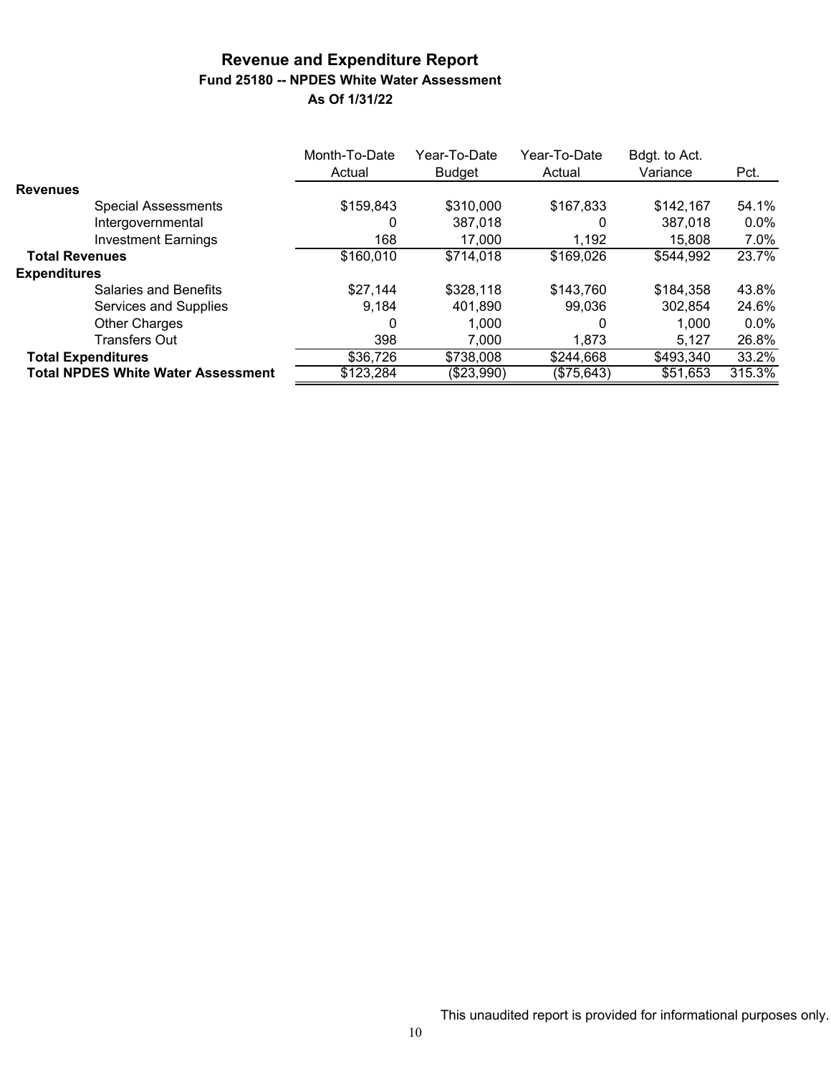### **Revenue and Expenditure Report Fund 25180 -- NPDES White Water Assessment As Of 1/31/22**

|                       |                                           | Month-To-Date<br>Actual | Year-To-Date<br><b>Budget</b> | Year-To-Date<br>Actual | Bdgt. to Act.<br>Variance | Pct.    |
|-----------------------|-------------------------------------------|-------------------------|-------------------------------|------------------------|---------------------------|---------|
| <b>Revenues</b>       |                                           |                         |                               |                        |                           |         |
|                       | <b>Special Assessments</b>                | \$159,843               | \$310,000                     | \$167,833              | \$142,167                 | 54.1%   |
|                       | Intergovernmental                         | 0                       | 387,018                       | 0                      | 387,018                   | $0.0\%$ |
|                       | <b>Investment Earnings</b>                | 168                     | 17,000                        | 1,192                  | 15,808                    | 7.0%    |
| <b>Total Revenues</b> |                                           | \$160,010               | \$714,018                     | \$169,026              | \$544,992                 | 23.7%   |
| <b>Expenditures</b>   |                                           |                         |                               |                        |                           |         |
|                       | Salaries and Benefits                     | \$27,144                | \$328,118                     | \$143,760              | \$184,358                 | 43.8%   |
|                       | Services and Supplies                     | 9,184                   | 401,890                       | 99,036                 | 302,854                   | 24.6%   |
|                       | <b>Other Charges</b>                      | 0                       | 1.000                         | 0                      | 1.000                     | $0.0\%$ |
|                       | <b>Transfers Out</b>                      | 398                     | 7,000                         | 1.873                  | 5.127                     | 26.8%   |
|                       | <b>Total Expenditures</b>                 | \$36,726                | \$738,008                     | \$244,668              | \$493,340                 | 33.2%   |
|                       | <b>Total NPDES White Water Assessment</b> | \$123,284               | (\$23,990)                    | (\$75,643)             | \$51,653                  | 315.3%  |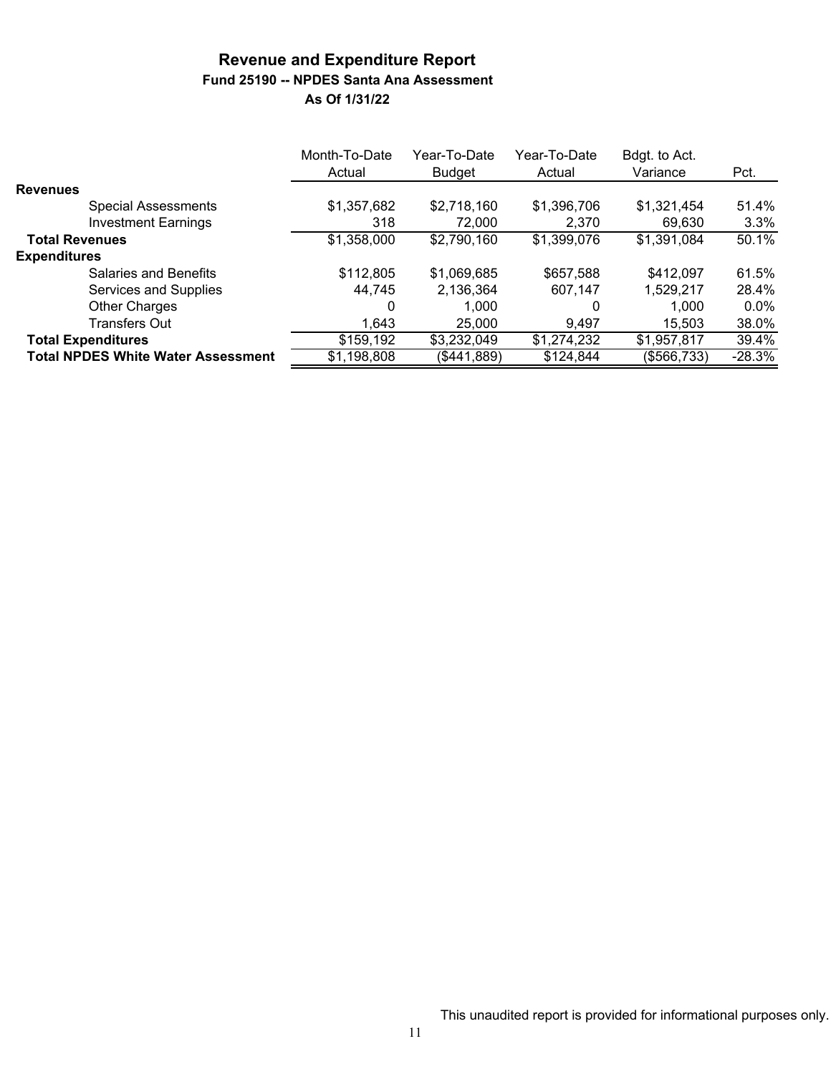### **Revenue and Expenditure Report Fund 25190 -- NPDES Santa Ana Assessment As Of 1/31/22**

|                                           | Month-To-Date<br>Actual | Year-To-Date<br>Budget | Year-To-Date<br>Actual | Bdgt. to Act.<br>Variance | Pct.     |
|-------------------------------------------|-------------------------|------------------------|------------------------|---------------------------|----------|
| <b>Revenues</b>                           |                         |                        |                        |                           |          |
| <b>Special Assessments</b>                | \$1,357,682             | \$2,718,160            | \$1,396,706            | \$1,321,454               | 51.4%    |
| <b>Investment Earnings</b>                | 318                     | 72,000                 | 2,370                  | 69,630                    | 3.3%     |
| <b>Total Revenues</b>                     | \$1,358,000             | \$2,790,160            | \$1,399,076            | \$1,391,084               | 50.1%    |
| <b>Expenditures</b>                       |                         |                        |                        |                           |          |
| <b>Salaries and Benefits</b>              | \$112,805               | \$1,069,685            | \$657,588              | \$412,097                 | 61.5%    |
| Services and Supplies                     | 44,745                  | 2,136,364              | 607,147                | 1,529,217                 | 28.4%    |
| <b>Other Charges</b>                      | 0                       | 1.000                  | 0                      | 1.000                     | $0.0\%$  |
| <b>Transfers Out</b>                      | 1,643                   | 25,000                 | 9,497                  | 15,503                    | 38.0%    |
| <b>Total Expenditures</b>                 | \$159,192               | \$3,232,049            | \$1,274,232            | \$1,957,817               | 39.4%    |
| <b>Total NPDES White Water Assessment</b> | \$1,198,808             | (\$441,889)            | \$124,844              | (\$566,733)               | $-28.3%$ |